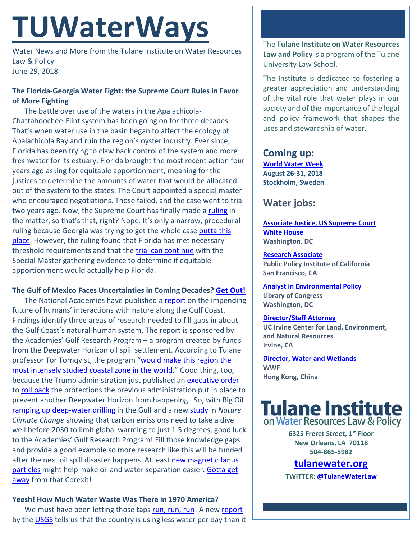# **TUWaterWays**

Water News and More from the Tulane Institute on Water Resources Law & Policy June 29, 2018

## **The Florida-Georgia Water Fight: the Supreme Court Rules in Favor of More Fighting**

The battle over use of the waters in the Apalachicola-Chattahoochee-Flint system has been going on for three decades. That's when water use in the basin began to affect the ecology of Apalachicola Bay and ruin the region's oyster industry. Ever since, Florida has been trying to claw back control of the system and more freshwater for its estuary. Florida brought the most recent action four years ago asking for equitable apportionment, meaning for the justices to determine the amounts of water that would be allocated out of the system to the states. The Court appointed a special master who encouraged negotiations. Those failed, and the case went to trial two years ago. Now, the Supreme Court has finally made a [ruling](https://www.courthousenews.com/wp-content/uploads/2018/06/FLORIDA-V-GEORGIA.pdf) in the matter, so that's that, right? Nope. It's only a narrow, procedural ruling because Georgia was trying to get the whole case outta this [place.](https://www.youtube.com/watch?v=Q3mgapAcVdU) However, the ruling found that Florida has met necessary threshold requirements and that the [trial can continue](https://www.courthousenews.com/justices-open-new-chapter-in-georgia-florida-water-dispute/) with the Special Master gathering evidence to determine if equitable apportionment would actually help Florida.

### **The Gulf of Mexico Faces Uncertainties in Coming Decades? [Get Out!](https://www.youtube.com/watch?v=LHUKKrcXfJs)**

The National Academies have published [a report](https://www.nap.edu/catalog/25108/understanding-the-long-term-evolution-of-the-coupled-natural-human-coastal-system) on the impending future of humans' interactions with nature along the Gulf Coast. Findings identify three areas of research needed to fill gaps in about the Gulf Coast's natural-human system. The report is sponsored by the Academies' Gulf Research Program – a program created by funds from the Deepwater Horizon oil spill settlement. According to Tulane professor Tor Tornqvist, the program ["would make this region the](https://www.nola.com/environment/index.ssf/2018/06/fill_science_gaps_on_natural_h.html) [most intensely studied coastal zone in the world.](https://www.nola.com/environment/index.ssf/2018/06/fill_science_gaps_on_natural_h.html)" Good thing, too, because the Trump administration just published an [executive order](https://www.whitehouse.gov/presidential-actions/executive-order-regarding-ocean-policy-advance-economic-security-environmental-interests-united-states/) to [roll back](https://www.vox.com/2018/6/22/17493414/trump-executive-order-deepwater-horizon-drilling-oceans) the protections the previous administration put in place to prevent another Deepwater Horizon from happening. So, with Big Oil [ramping up](https://www.bloomberg.com/news/articles/2018-06-21/chevron-deep-water-tentacles-show-big-oil-rivaling-shale-in-gulf) [deep-water drilling](https://www.bloomberg.com/news/photo-essays/2018-06-27/a-threat-to-shale-s-dominance-emerges-200-miles-off-the-gulf-coast) in the Gulf and a new [study](https://www.nature.com/articles/s41558-018-0198-6) in *Nature Climate Change* showing that carbon emissions need to take a dive well before 2030 to limit global warming to just 1.5 degrees, good luck to the Academies' Gulf Research Program! Fill those knowledge gaps and provide a good example so more research like this will be funded after the next oil spill disaster happens. At least new magnetic Janus [particles](https://phys.org/news/2018-06-rapid-efficient-oil-water-newly-developed-particles.html) might help make oil and water separation easier. Gotta get [away](https://www.youtube.com/watch?v=ewco-kNBPaw) from that Corexit!

## **Yeesh! How Much Water Waste Was There in 1970 America?**

We must have been letting those taps [run, run, run!](https://www.youtube.com/watch?v=m9ufOljsFZQ) A new [report](https://pubs.er.usgs.gov/publication/cir1441) by the [USGS](https://www.usgs.gov/news/water-use-across-united-states-declines-levels-not-seen-1970) tells us that the country is using less water per day than it The **Tulane Institute on Water Resources Law and Policy** is a program of the Tulane University Law School.

The Institute is dedicated to fostering a greater appreciation and understanding of the vital role that water plays in our society and of the importance of the legal and policy framework that shapes the uses and stewardship of water.

## **Coming up:**

**[World Water Week](http://www.worldwaterweek.org/) August 26-31, 2018 Stockholm, Sweden**

## **Water jobs:**

**[Associate Justice, US Supreme Court](https://www.usatoday.com/story/news/politics/2018/06/27/justice-kennedy-retiring-opening-supreme-court-seat/952716001/ttps:/www.eenews.net/stories/1060087265) [White House](https://www.whitehouse.gov/contact/) Washington, DC**

**[Research Associate](http://chc.tbe.taleo.net/chc01/ats/careers/requisition.jsp?org=PPIC&cws=1&rid=150) Public Policy Institute of California San Francisco, CA**

**[Analyst in Environmental Policy](https://www.usajobs.gov/GetJob/ViewDetails/501983400) Library of Congress Washington, DC**

## **[Director/Staff Attorney](https://staffing2.hr.uci.edu/CSS_External/CSSPage_JobDetail.ASP?T=20180615112410&)**

**UC Irvine Center for Land, Environment, and Natural Resources Irvine, CA** 

**[Director, Water and Wetlands](https://www.wwf.org.hk/whoweare/jobs/?21020%2FDirector-Water-and-Wetlands-Job-Code-W-DWW) WWF Hong Kong, China**



**6325 Freret Street, 1st Floor New Orleans, LA 70118 504-865-5982** 

**tulanewater.org**

**TWITTER[: @TulaneWaterLaw](http://www.twitter.com/TulaneWaterLaw)**